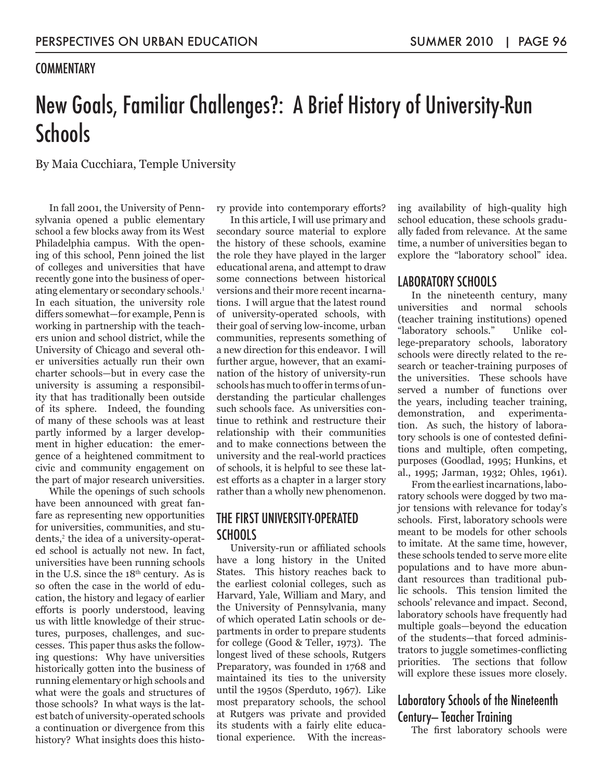## **COMMENTARY**

# New Goals, Familiar Challenges?: A Brief History of University-Run **Schools**

By Maia Cucchiara, Temple University

In fall 2001, the University of Pennsylvania opened a public elementary school a few blocks away from its West Philadelphia campus. With the opening of this school, Penn joined the list of colleges and universities that have recently gone into the business of operating elementary or secondary schools.<sup>1</sup> In each situation, the university role differs somewhat—for example, Penn is working in partnership with the teachers union and school district, while the University of Chicago and several other universities actually run their own charter schools—but in every case the university is assuming a responsibility that has traditionally been outside of its sphere. Indeed, the founding of many of these schools was at least partly informed by a larger development in higher education: the emergence of a heightened commitment to civic and community engagement on the part of major research universities.

While the openings of such schools have been announced with great fanfare as representing new opportunities for universities, communities, and students,<sup>2</sup> the idea of a university-operated school is actually not new. In fact, universities have been running schools in the U.S. since the  $18<sup>th</sup>$  century. As is so often the case in the world of education, the history and legacy of earlier efforts is poorly understood, leaving us with little knowledge of their structures, purposes, challenges, and successes. This paper thus asks the following questions: Why have universities historically gotten into the business of running elementary or high schools and what were the goals and structures of those schools? In what ways is the latest batch of university-operated schools a continuation or divergence from this history? What insights does this history provide into contemporary efforts?

In this article, I will use primary and secondary source material to explore the history of these schools, examine the role they have played in the larger educational arena, and attempt to draw some connections between historical versions and their more recent incarnations. I will argue that the latest round of university-operated schools, with their goal of serving low-income, urban communities, represents something of a new direction for this endeavor. I will further argue, however, that an examination of the history of university-run schools has much to offer in terms of understanding the particular challenges such schools face. As universities continue to rethink and restructure their relationship with their communities and to make connections between the university and the real-world practices of schools, it is helpful to see these latest efforts as a chapter in a larger story rather than a wholly new phenomenon.

# THE FIRST UNIVERSITY-OPERATED SCHOOLS

University-run or affiliated schools have a long history in the United States. This history reaches back to the earliest colonial colleges, such as Harvard, Yale, William and Mary, and the University of Pennsylvania, many of which operated Latin schools or departments in order to prepare students for college (Good & Teller, 1973). The longest lived of these schools, Rutgers Preparatory, was founded in 1768 and maintained its ties to the university until the 1950s (Sperduto, 1967). Like most preparatory schools, the school at Rutgers was private and provided its students with a fairly elite educational experience. With the increasing availability of high-quality high school education, these schools gradually faded from relevance. At the same time, a number of universities began to explore the "laboratory school" idea.

## LABORATORY SCHOOLS

In the nineteenth century, many universities and normal schools (teacher training institutions) opened "laboratory schools." Unlike college-preparatory schools, laboratory schools were directly related to the research or teacher-training purposes of the universities. These schools have served a number of functions over the years, including teacher training, demonstration, and experimentation. As such, the history of laboratory schools is one of contested definitions and multiple, often competing, purposes (Goodlad, 1995; Hunkins, et al., 1995; Jarman, 1932; Ohles, 1961).

From the earliest incarnations, laboratory schools were dogged by two major tensions with relevance for today's schools. First, laboratory schools were meant to be models for other schools to imitate. At the same time, however, these schools tended to serve more elite populations and to have more abundant resources than traditional public schools. This tension limited the schools' relevance and impact. Second, laboratory schools have frequently had multiple goals—beyond the education of the students—that forced administrators to juggle sometimes-conflicting priorities. The sections that follow will explore these issues more closely.

# Laboratory Schools of the Nineteenth Century— Teacher Training

The first laboratory schools were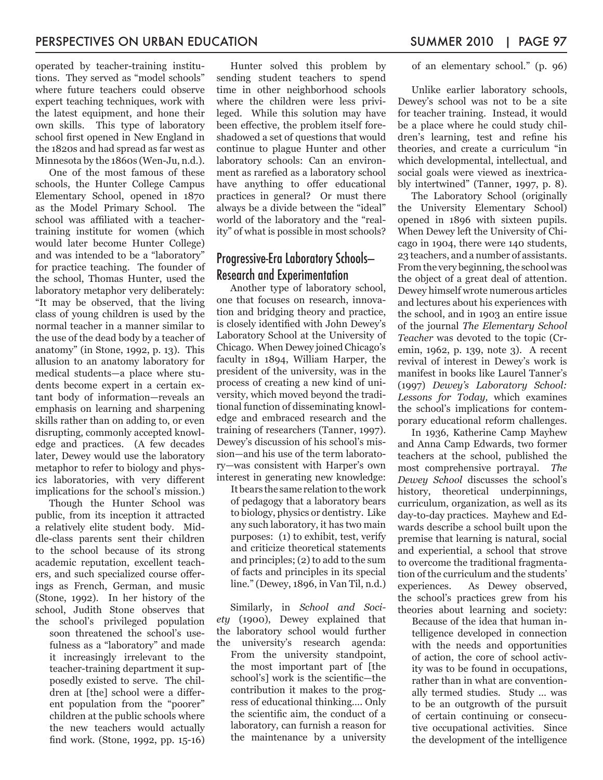operated by teacher-training institutions. They served as "model schools" where future teachers could observe expert teaching techniques, work with the latest equipment, and hone their own skills. This type of laboratory school first opened in New England in the 1820s and had spread as far west as Minnesota by the 1860s (Wen-Ju, n.d.).

One of the most famous of these schools, the Hunter College Campus Elementary School, opened in 1870 as the Model Primary School. The school was affiliated with a teachertraining institute for women (which would later become Hunter College) and was intended to be a "laboratory" for practice teaching. The founder of the school, Thomas Hunter, used the laboratory metaphor very deliberately: "It may be observed, that the living class of young children is used by the normal teacher in a manner similar to the use of the dead body by a teacher of anatomy" (in Stone, 1992, p. 13). This allusion to an anatomy laboratory for medical students—a place where students become expert in a certain extant body of information—reveals an emphasis on learning and sharpening skills rather than on adding to, or even disrupting, commonly accepted knowledge and practices. (A few decades later, Dewey would use the laboratory metaphor to refer to biology and physics laboratories, with very different implications for the school's mission.)

Though the Hunter School was public, from its inception it attracted a relatively elite student body. Middle-class parents sent their children to the school because of its strong academic reputation, excellent teachers, and such specialized course offerings as French, German, and music (Stone, 1992). In her history of the school, Judith Stone observes that the school's privileged population

soon threatened the school's usefulness as a "laboratory" and made it increasingly irrelevant to the teacher-training department it supposedly existed to serve. The children at [the] school were a different population from the "poorer" children at the public schools where the new teachers would actually find work. (Stone, 1992, pp. 15-16)

Hunter solved this problem by sending student teachers to spend time in other neighborhood schools where the children were less privileged. While this solution may have been effective, the problem itself foreshadowed a set of questions that would continue to plague Hunter and other laboratory schools: Can an environment as rarefied as a laboratory school have anything to offer educational practices in general? Or must there always be a divide between the "ideal" world of the laboratory and the "reality" of what is possible in most schools?

# Progressive-Era Laboratory Schools— Research and Experimentation

Another type of laboratory school, one that focuses on research, innovation and bridging theory and practice, is closely identified with John Dewey's Laboratory School at the University of Chicago. When Dewey joined Chicago's faculty in 1894, William Harper, the president of the university, was in the process of creating a new kind of university, which moved beyond the traditional function of disseminating knowledge and embraced research and the training of researchers (Tanner, 1997). Dewey's discussion of his school's mission—and his use of the term laboratory—was consistent with Harper's own interest in generating new knowledge:

It bears the same relation to the work of pedagogy that a laboratory bears to biology, physics or dentistry. Like any such laboratory, it has two main purposes: (1) to exhibit, test, verify and criticize theoretical statements and principles; (2) to add to the sum of facts and principles in its special line." (Dewey, 1896, in Van Til, n.d.)

Similarly, in *School and Society* (1900), Dewey explained that the laboratory school would further the university's research agenda: From the university standpoint, the most important part of [the school's] work is the scientific—the contribution it makes to the progress of educational thinking…. Only the scientific aim, the conduct of a laboratory, can furnish a reason for the maintenance by a university of an elementary school." (p. 96)

Unlike earlier laboratory schools, Dewey's school was not to be a site for teacher training. Instead, it would be a place where he could study children's learning, test and refine his theories, and create a curriculum "in which developmental, intellectual, and social goals were viewed as inextricably intertwined" (Tanner, 1997, p. 8).

The Laboratory School (originally the University Elementary School) opened in 1896 with sixteen pupils. When Dewey left the University of Chicago in 1904, there were 140 students, 23 teachers, and a number of assistants. From the very beginning, the school was the object of a great deal of attention. Dewey himself wrote numerous articles and lectures about his experiences with the school, and in 1903 an entire issue of the journal *The Elementary School Teacher* was devoted to the topic (Cremin, 1962, p. 139, note 3). A recent revival of interest in Dewey's work is manifest in books like Laurel Tanner's (1997) *Dewey's Laboratory School: Lessons for Today,* which examines the school's implications for contemporary educational reform challenges.

In 1936, Katherine Camp Mayhew and Anna Camp Edwards, two former teachers at the school, published the most comprehensive portrayal. *The Dewey School* discusses the school's history, theoretical underpinnings, curriculum, organization, as well as its day-to-day practices. Mayhew and Edwards describe a school built upon the premise that learning is natural, social and experiential, a school that strove to overcome the traditional fragmentation of the curriculum and the students' experiences. As Dewey observed, the school's practices grew from his theories about learning and society:

Because of the idea that human intelligence developed in connection with the needs and opportunities of action, the core of school activity was to be found in occupations, rather than in what are conventionally termed studies. Study … was to be an outgrowth of the pursuit of certain continuing or consecutive occupational activities. Since the development of the intelligence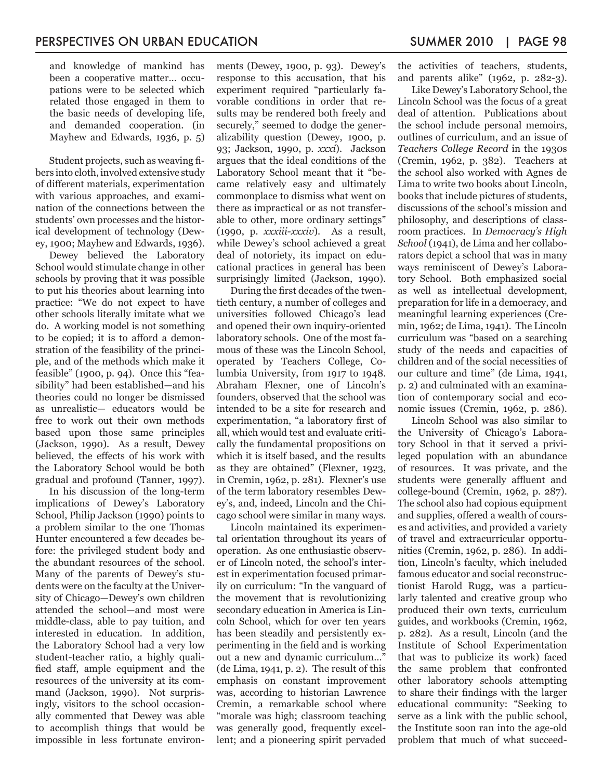and knowledge of mankind has been a cooperative matter… occupations were to be selected which related those engaged in them to the basic needs of developing life, and demanded cooperation. (in Mayhew and Edwards, 1936, p. 5)

Student projects, such as weaving fibers into cloth, involved extensive study of different materials, experimentation with various approaches, and examination of the connections between the students' own processes and the historical development of technology (Dewey, 1900; Mayhew and Edwards, 1936).

Dewey believed the Laboratory School would stimulate change in other schools by proving that it was possible to put his theories about learning into practice: "We do not expect to have other schools literally imitate what we do. A working model is not something to be copied; it is to afford a demonstration of the feasibility of the principle, and of the methods which make it feasible" (1900, p. 94). Once this "feasibility" had been established—and his theories could no longer be dismissed as unrealistic— educators would be free to work out their own methods based upon those same principles (Jackson, 1990). As a result, Dewey believed, the effects of his work with the Laboratory School would be both gradual and profound (Tanner, 1997).

In his discussion of the long-term implications of Dewey's Laboratory School, Philip Jackson (1990) points to a problem similar to the one Thomas Hunter encountered a few decades before: the privileged student body and the abundant resources of the school. Many of the parents of Dewey's students were on the faculty at the University of Chicago—Dewey's own children attended the school—and most were middle-class, able to pay tuition, and interested in education. In addition, the Laboratory School had a very low student-teacher ratio, a highly qualified staff, ample equipment and the resources of the university at its command (Jackson, 1990). Not surprisingly, visitors to the school occasionally commented that Dewey was able to accomplish things that would be impossible in less fortunate environments (Dewey, 1900, p. 93). Dewey's response to this accusation, that his experiment required "particularly favorable conditions in order that results may be rendered both freely and securely," seemed to dodge the generalizability question (Dewey, 1900, p. 93; Jackson, 1990, p. *xxxi*). Jackson argues that the ideal conditions of the Laboratory School meant that it "became relatively easy and ultimately commonplace to dismiss what went on there as impractical or as not transferable to other, more ordinary settings" (1990, p. *xxxiii-xxxiv*). As a result, while Dewey's school achieved a great deal of notoriety, its impact on educational practices in general has been surprisingly limited (Jackson, 1990).

During the first decades of the twentieth century, a number of colleges and universities followed Chicago's lead and opened their own inquiry-oriented laboratory schools. One of the most famous of these was the Lincoln School, operated by Teachers College, Columbia University, from 1917 to 1948. Abraham Flexner, one of Lincoln's founders, observed that the school was intended to be a site for research and experimentation, "a laboratory first of all, which would test and evaluate critically the fundamental propositions on which it is itself based, and the results as they are obtained" (Flexner, 1923, in Cremin, 1962, p. 281). Flexner's use of the term laboratory resembles Dewey's, and, indeed, Lincoln and the Chicago school were similar in many ways.

Lincoln maintained its experimental orientation throughout its years of operation. As one enthusiastic observer of Lincoln noted, the school's interest in experimentation focused primarily on curriculum: "In the vanguard of the movement that is revolutionizing secondary education in America is Lincoln School, which for over ten years has been steadily and persistently experimenting in the field and is working out a new and dynamic curriculum…" (de Lima, 1941, p. 2). The result of this emphasis on constant improvement was, according to historian Lawrence Cremin, a remarkable school where "morale was high; classroom teaching was generally good, frequently excellent; and a pioneering spirit pervaded

the activities of teachers, students, and parents alike" (1962, p. 282-3).

Like Dewey's Laboratory School, the Lincoln School was the focus of a great deal of attention. Publications about the school include personal memoirs, outlines of curriculum, and an issue of *Teachers College Record* in the 1930s (Cremin, 1962, p. 382). Teachers at the school also worked with Agnes de Lima to write two books about Lincoln, books that include pictures of students, discussions of the school's mission and philosophy, and descriptions of classroom practices. In *Democracy's High School* (1941), de Lima and her collaborators depict a school that was in many ways reminiscent of Dewey's Laboratory School. Both emphasized social as well as intellectual development, preparation for life in a democracy, and meaningful learning experiences (Cremin, 1962; de Lima, 1941). The Lincoln curriculum was "based on a searching study of the needs and capacities of children and of the social necessities of our culture and time" (de Lima, 1941, p. 2) and culminated with an examination of contemporary social and economic issues (Cremin, 1962, p. 286).

Lincoln School was also similar to the University of Chicago's Laboratory School in that it served a privileged population with an abundance of resources. It was private, and the students were generally affluent and college-bound (Cremin, 1962, p. 287). The school also had copious equipment and supplies, offered a wealth of courses and activities, and provided a variety of travel and extracurricular opportunities (Cremin, 1962, p. 286). In addition, Lincoln's faculty, which included famous educator and social reconstructionist Harold Rugg, was a particularly talented and creative group who produced their own texts, curriculum guides, and workbooks (Cremin, 1962, p. 282). As a result, Lincoln (and the Institute of School Experimentation that was to publicize its work) faced the same problem that confronted other laboratory schools attempting to share their findings with the larger educational community: "Seeking to serve as a link with the public school, the Institute soon ran into the age-old problem that much of what succeed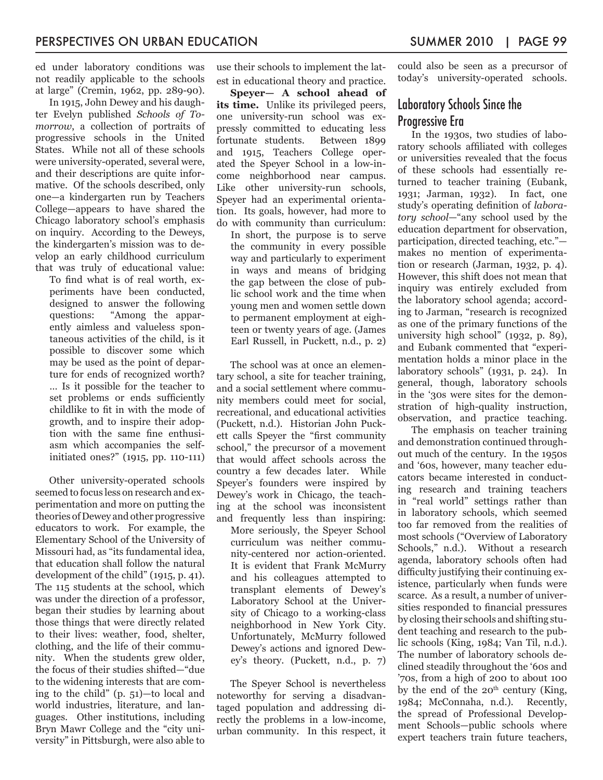ed under laboratory conditions was not readily applicable to the schools at large" (Cremin, 1962, pp. 289-90).

In 1915, John Dewey and his daughter Evelyn published *Schools of Tomorrow*, a collection of portraits of progressive schools in the United States. While not all of these schools were university-operated, several were, and their descriptions are quite informative. Of the schools described, only one—a kindergarten run by Teachers College—appears to have shared the Chicago laboratory school's emphasis on inquiry. According to the Deweys, the kindergarten's mission was to develop an early childhood curriculum that was truly of educational value:

To find what is of real worth, experiments have been conducted, designed to answer the following questions: "Among the apparently aimless and valueless spontaneous activities of the child, is it possible to discover some which may be used as the point of departure for ends of recognized worth? … Is it possible for the teacher to set problems or ends sufficiently childlike to fit in with the mode of growth, and to inspire their adoption with the same fine enthusiasm which accompanies the selfinitiated ones?" (1915, pp. 110-111)

Other university-operated schools seemed to focus less on research and experimentation and more on putting the theories of Dewey and other progressive educators to work. For example, the Elementary School of the University of Missouri had, as "its fundamental idea, that education shall follow the natural development of the child" (1915, p. 41). The 115 students at the school, which was under the direction of a professor, began their studies by learning about those things that were directly related to their lives: weather, food, shelter, clothing, and the life of their community. When the students grew older, the focus of their studies shifted—"due to the widening interests that are coming to the child" (p. 51)—to local and world industries, literature, and languages. Other institutions, including Bryn Mawr College and the "city university" in Pittsburgh, were also able to

use their schools to implement the latest in educational theory and practice.

**Speyer— A school ahead of its time.** Unlike its privileged peers, one university-run school was expressly committed to educating less fortunate students. Between 1899 and 1915, Teachers College operated the Speyer School in a low-income neighborhood near campus. Like other university-run schools, Speyer had an experimental orientation. Its goals, however, had more to do with community than curriculum:

In short, the purpose is to serve the community in every possible way and particularly to experiment in ways and means of bridging the gap between the close of public school work and the time when young men and women settle down to permanent employment at eighteen or twenty years of age. (James Earl Russell, in Puckett, n.d., p. 2)

The school was at once an elementary school, a site for teacher training, and a social settlement where community members could meet for social, recreational, and educational activities (Puckett, n.d.). Historian John Puckett calls Speyer the "first community school," the precursor of a movement that would affect schools across the country a few decades later. While Speyer's founders were inspired by Dewey's work in Chicago, the teaching at the school was inconsistent and frequently less than inspiring:

More seriously, the Speyer School curriculum was neither community-centered nor action-oriented. It is evident that Frank McMurry and his colleagues attempted to transplant elements of Dewey's Laboratory School at the University of Chicago to a working-class neighborhood in New York City. Unfortunately, McMurry followed Dewey's actions and ignored Dewey's theory. (Puckett, n.d., p. 7)

The Speyer School is nevertheless noteworthy for serving a disadvantaged population and addressing directly the problems in a low-income, urban community. In this respect, it could also be seen as a precursor of today's university-operated schools.

# Laboratory Schools Since the Progressive Era

In the 1930s, two studies of laboratory schools affiliated with colleges or universities revealed that the focus of these schools had essentially returned to teacher training (Eubank, 1931; Jarman, 1932). In fact, one study's operating definition of *laboratory school*—"any school used by the education department for observation, participation, directed teaching, etc." makes no mention of experimentation or research (Jarman, 1932, p. 4). However, this shift does not mean that inquiry was entirely excluded from the laboratory school agenda; according to Jarman, "research is recognized as one of the primary functions of the university high school" (1932, p. 89), and Eubank commented that "experimentation holds a minor place in the laboratory schools" (1931, p. 24). In general, though, laboratory schools in the '30s were sites for the demonstration of high-quality instruction, observation, and practice teaching.

The emphasis on teacher training and demonstration continued throughout much of the century. In the 1950s and '60s, however, many teacher educators became interested in conducting research and training teachers in "real world" settings rather than in laboratory schools, which seemed too far removed from the realities of most schools ("Overview of Laboratory Schools," n.d.). Without a research agenda, laboratory schools often had difficulty justifying their continuing existence, particularly when funds were scarce. As a result, a number of universities responded to financial pressures by closing their schools and shifting student teaching and research to the public schools (King, 1984; Van Til, n.d.). The number of laboratory schools declined steadily throughout the '60s and '70s, from a high of 200 to about 100 by the end of the  $20<sup>th</sup>$  century (King, 1984; McConnaha, n.d.). Recently, the spread of Professional Development Schools—public schools where expert teachers train future teachers,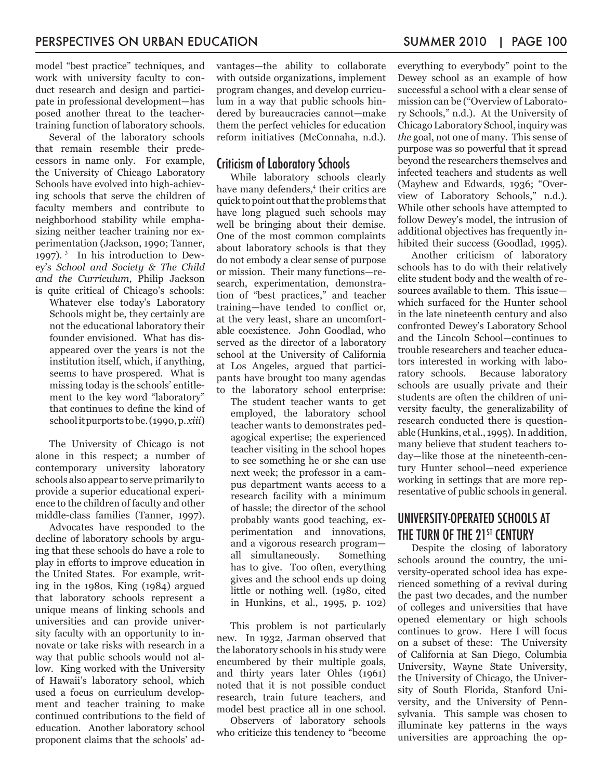model "best practice" techniques, and work with university faculty to conduct research and design and participate in professional development—has posed another threat to the teachertraining function of laboratory schools.

Several of the laboratory schools that remain resemble their predecessors in name only. For example, the University of Chicago Laboratory Schools have evolved into high-achieving schools that serve the children of faculty members and contribute to neighborhood stability while emphasizing neither teacher training nor experimentation (Jackson, 1990; Tanner, 1997). 3 In his introduction to Dewey's *School and Society & The Child and the Curriculum*, Philip Jackson is quite critical of Chicago's schools:

Whatever else today's Laboratory Schools might be, they certainly are not the educational laboratory their founder envisioned. What has disappeared over the years is not the institution itself, which, if anything, seems to have prospered. What is missing today is the schools' entitlement to the key word "laboratory" that continues to define the kind of school it purports to be. (1990, p. *xiii*)

The University of Chicago is not alone in this respect; a number of contemporary university laboratory schools also appear to serve primarily to provide a superior educational experience to the children of faculty and other middle-class families (Tanner, 1997).

Advocates have responded to the decline of laboratory schools by arguing that these schools do have a role to play in efforts to improve education in the United States. For example, writing in the 1980s, King (1984) argued that laboratory schools represent a unique means of linking schools and universities and can provide university faculty with an opportunity to innovate or take risks with research in a way that public schools would not allow. King worked with the University of Hawaii's laboratory school, which used a focus on curriculum development and teacher training to make continued contributions to the field of education. Another laboratory school proponent claims that the schools' advantages—the ability to collaborate with outside organizations, implement program changes, and develop curriculum in a way that public schools hindered by bureaucracies cannot—make them the perfect vehicles for education reform initiatives (McConnaha, n.d.).

### Criticism of Laboratory Schools

While laboratory schools clearly have many defenders,<sup>4</sup> their critics are quick to point out that the problems that have long plagued such schools may well be bringing about their demise. One of the most common complaints about laboratory schools is that they do not embody a clear sense of purpose or mission. Their many functions—research, experimentation, demonstration of "best practices," and teacher training—have tended to conflict or, at the very least, share an uncomfortable coexistence. John Goodlad, who served as the director of a laboratory school at the University of California at Los Angeles, argued that participants have brought too many agendas to the laboratory school enterprise:

The student teacher wants to get employed, the laboratory school teacher wants to demonstrates pedagogical expertise; the experienced teacher visiting in the school hopes to see something he or she can use next week; the professor in a campus department wants access to a research facility with a minimum of hassle; the director of the school probably wants good teaching, experimentation and innovations, and a vigorous research program all simultaneously. Something has to give. Too often, everything gives and the school ends up doing little or nothing well. (1980, cited in Hunkins, et al., 1995, p. 102)

This problem is not particularly new. In 1932, Jarman observed that the laboratory schools in his study were encumbered by their multiple goals, and thirty years later Ohles (1961) noted that it is not possible conduct research, train future teachers, and model best practice all in one school.

Observers of laboratory schools who criticize this tendency to "become everything to everybody" point to the Dewey school as an example of how successful a school with a clear sense of mission can be ("Overview of Laboratory Schools," n.d.). At the University of Chicago Laboratory School, inquiry was *the* goal, not one of many. This sense of purpose was so powerful that it spread beyond the researchers themselves and infected teachers and students as well (Mayhew and Edwards, 1936; "Overview of Laboratory Schools," n.d.). While other schools have attempted to follow Dewey's model, the intrusion of additional objectives has frequently inhibited their success (Goodlad, 1995).

Another criticism of laboratory schools has to do with their relatively elite student body and the wealth of resources available to them. This issue which surfaced for the Hunter school in the late nineteenth century and also confronted Dewey's Laboratory School and the Lincoln School—continues to trouble researchers and teacher educators interested in working with laboratory schools. Because laboratory schools are usually private and their students are often the children of university faculty, the generalizability of research conducted there is questionable (Hunkins, et al., 1995). In addition, many believe that student teachers today—like those at the nineteenth-century Hunter school—need experience working in settings that are more representative of public schools in general.

# UNIVERSITY-OPERATED SCHOOLS AT THE TURN OF THE 21<sup>ST</sup> CENTURY

Despite the closing of laboratory schools around the country, the university-operated school idea has experienced something of a revival during the past two decades, and the number of colleges and universities that have opened elementary or high schools continues to grow. Here I will focus on a subset of these: The University of California at San Diego, Columbia University, Wayne State University, the University of Chicago, the University of South Florida, Stanford University, and the University of Pennsylvania. This sample was chosen to illuminate key patterns in the ways universities are approaching the op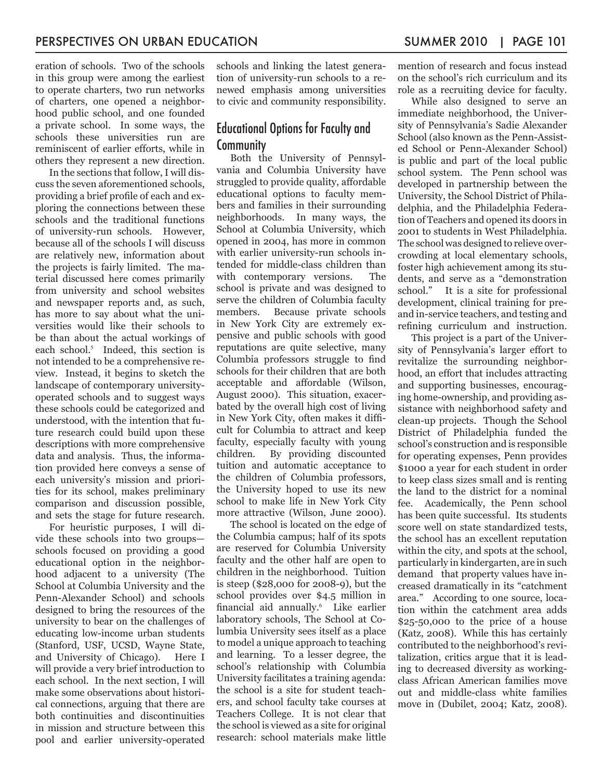eration of schools. Two of the schools in this group were among the earliest to operate charters, two run networks of charters, one opened a neighborhood public school, and one founded a private school. In some ways, the schools these universities run are reminiscent of earlier efforts, while in others they represent a new direction.

In the sections that follow, I will discuss the seven aforementioned schools, providing a brief profile of each and exploring the connections between these schools and the traditional functions of university-run schools. However, because all of the schools I will discuss are relatively new, information about the projects is fairly limited. The material discussed here comes primarily from university and school websites and newspaper reports and, as such, has more to say about what the universities would like their schools to be than about the actual workings of each school.<sup>5</sup> Indeed, this section is not intended to be a comprehensive review. Instead, it begins to sketch the landscape of contemporary universityoperated schools and to suggest ways these schools could be categorized and understood, with the intention that future research could build upon these descriptions with more comprehensive data and analysis. Thus, the information provided here conveys a sense of each university's mission and priorities for its school, makes preliminary comparison and discussion possible, and sets the stage for future research.

For heuristic purposes, I will divide these schools into two groups schools focused on providing a good educational option in the neighborhood adjacent to a university (The School at Columbia University and the Penn-Alexander School) and schools designed to bring the resources of the university to bear on the challenges of educating low-income urban students (Stanford, USF, UCSD, Wayne State, and University of Chicago). Here I will provide a very brief introduction to each school. In the next section, I will make some observations about historical connections, arguing that there are both continuities and discontinuities in mission and structure between this pool and earlier university-operated

schools and linking the latest generation of university-run schools to a renewed emphasis among universities to civic and community responsibility.

### Educational Options for Faculty and Community

Both the University of Pennsylvania and Columbia University have struggled to provide quality, affordable educational options to faculty members and families in their surrounding neighborhoods. In many ways, the School at Columbia University, which opened in 2004, has more in common with earlier university-run schools intended for middle-class children than with contemporary versions. The school is private and was designed to serve the children of Columbia faculty members. Because private schools in New York City are extremely expensive and public schools with good reputations are quite selective, many Columbia professors struggle to find schools for their children that are both acceptable and affordable (Wilson, August 2000). This situation, exacerbated by the overall high cost of living in New York City, often makes it difficult for Columbia to attract and keep faculty, especially faculty with young children. By providing discounted tuition and automatic acceptance to the children of Columbia professors, the University hoped to use its new school to make life in New York City more attractive (Wilson, June 2000).

The school is located on the edge of the Columbia campus; half of its spots are reserved for Columbia University faculty and the other half are open to children in the neighborhood. Tuition is steep (\$28,000 for 2008-9), but the school provides over \$4.5 million in financial aid annually.<sup>6</sup> Like earlier laboratory schools, The School at Columbia University sees itself as a place to model a unique approach to teaching and learning. To a lesser degree, the school's relationship with Columbia University facilitates a training agenda: the school is a site for student teachers, and school faculty take courses at Teachers College. It is not clear that the school is viewed as a site for original research: school materials make little

mention of research and focus instead on the school's rich curriculum and its role as a recruiting device for faculty.

While also designed to serve an immediate neighborhood, the University of Pennsylvania's Sadie Alexander School (also known as the Penn-Assisted School or Penn-Alexander School) is public and part of the local public school system. The Penn school was developed in partnership between the University, the School District of Philadelphia, and the Philadelphia Federation of Teachers and opened its doors in 2001 to students in West Philadelphia. The school was designed to relieve overcrowding at local elementary schools, foster high achievement among its students, and serve as a "demonstration school." It is a site for professional development, clinical training for preand in-service teachers, and testing and refining curriculum and instruction.

This project is a part of the University of Pennsylvania's larger effort to revitalize the surrounding neighborhood, an effort that includes attracting and supporting businesses, encouraging home-ownership, and providing assistance with neighborhood safety and clean-up projects. Though the School District of Philadelphia funded the school's construction and is responsible for operating expenses, Penn provides \$1000 a year for each student in order to keep class sizes small and is renting the land to the district for a nominal fee. Academically, the Penn school has been quite successful. Its students score well on state standardized tests, the school has an excellent reputation within the city, and spots at the school, particularly in kindergarten, are in such demand that property values have increased dramatically in its "catchment area." According to one source, location within the catchment area adds \$25-50,000 to the price of a house (Katz, 2008). While this has certainly contributed to the neighborhood's revitalization, critics argue that it is leading to decreased diversity as workingclass African American families move out and middle-class white families move in (Dubilet, 2004; Katz, 2008).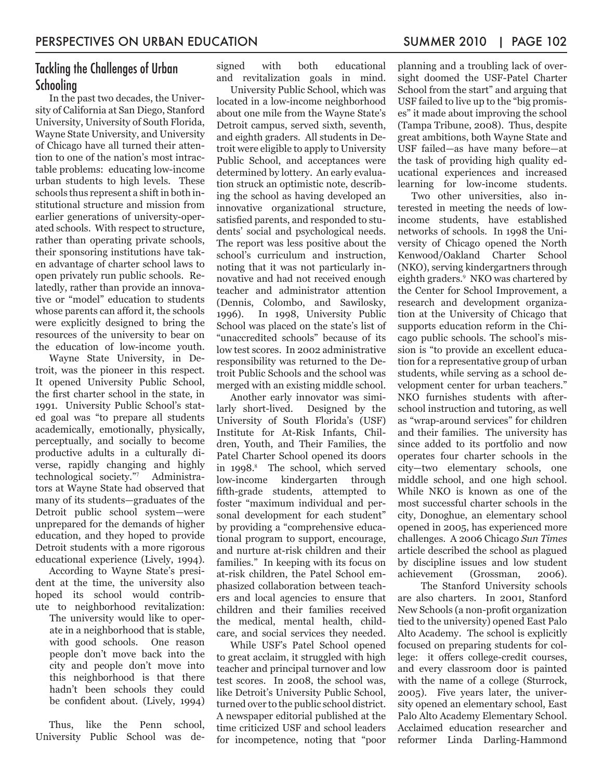# Tackling the Challenges of Urban Schooling

In the past two decades, the University of California at San Diego, Stanford University, University of South Florida, Wayne State University, and University of Chicago have all turned their attention to one of the nation's most intractable problems: educating low-income urban students to high levels. These schools thus represent a shift in both institutional structure and mission from earlier generations of university-operated schools. With respect to structure, rather than operating private schools, their sponsoring institutions have taken advantage of charter school laws to open privately run public schools. Relatedly, rather than provide an innovative or "model" education to students whose parents can afford it, the schools were explicitly designed to bring the resources of the university to bear on the education of low-income youth.

Wayne State University, in Detroit, was the pioneer in this respect. It opened University Public School, the first charter school in the state, in 1991. University Public School's stated goal was "to prepare all students academically, emotionally, physically, perceptually, and socially to become productive adults in a culturally diverse, rapidly changing and highly technological society."<sup>7</sup> Administrators at Wayne State had observed that many of its students—graduates of the Detroit public school system—were unprepared for the demands of higher education, and they hoped to provide Detroit students with a more rigorous educational experience (Lively, 1994).

According to Wayne State's president at the time, the university also hoped its school would contribute to neighborhood revitalization: The university would like to operate in a neighborhood that is stable, with good schools. One reason people don't move back into the city and people don't move into this neighborhood is that there hadn't been schools they could be confident about. (Lively, 1994)

Thus, like the Penn school, University Public School was designed with both educational and revitalization goals in mind.

University Public School, which was located in a low-income neighborhood about one mile from the Wayne State's Detroit campus, served sixth, seventh, and eighth graders. All students in Detroit were eligible to apply to University Public School, and acceptances were determined by lottery. An early evaluation struck an optimistic note, describing the school as having developed an innovative organizational structure, satisfied parents, and responded to students' social and psychological needs. The report was less positive about the school's curriculum and instruction, noting that it was not particularly innovative and had not received enough teacher and administrator attention (Dennis, Colombo, and Sawilosky, 1996). In 1998, University Public School was placed on the state's list of "unaccredited schools" because of its low test scores. In 2002 administrative responsibility was returned to the Detroit Public Schools and the school was merged with an existing middle school.

Another early innovator was similarly short-lived. Designed by the University of South Florida's (USF) Institute for At-Risk Infants, Children, Youth, and Their Families, the Patel Charter School opened its doors in 1998.<sup>8</sup> The school, which served low-income kindergarten through fifth-grade students, attempted to foster "maximum individual and personal development for each student" by providing a "comprehensive educational program to support, encourage, and nurture at-risk children and their families." In keeping with its focus on at-risk children, the Patel School emphasized collaboration between teachers and local agencies to ensure that children and their families received the medical, mental health, childcare, and social services they needed.

While USF's Patel School opened to great acclaim, it struggled with high teacher and principal turnover and low test scores. In 2008, the school was, like Detroit's University Public School, turned over to the public school district. A newspaper editorial published at the time criticized USF and school leaders for incompetence, noting that "poor planning and a troubling lack of oversight doomed the USF-Patel Charter School from the start" and arguing that USF failed to live up to the "big promises" it made about improving the school (Tampa Tribune, 2008). Thus, despite great ambitions, both Wayne State and USF failed—as have many before—at the task of providing high quality educational experiences and increased learning for low-income students.

Two other universities, also interested in meeting the needs of lowincome students, have established networks of schools. In 1998 the University of Chicago opened the North Kenwood/Oakland Charter School (NKO), serving kindergartners through eighth graders.<sup>9</sup> NKO was chartered by the Center for School Improvement, a research and development organization at the University of Chicago that supports education reform in the Chicago public schools. The school's mission is "to provide an excellent education for a representative group of urban students, while serving as a school development center for urban teachers." NKO furnishes students with afterschool instruction and tutoring, as well as "wrap-around services" for children and their families. The university has since added to its portfolio and now operates four charter schools in the city—two elementary schools, one middle school, and one high school. While NKO is known as one of the most successful charter schools in the city, Donoghue, an elementary school opened in 2005, has experienced more challenges. A 2006 Chicago *Sun Times* article described the school as plagued by discipline issues and low student achievement (Grossman, 2006).

 The Stanford University schools are also charters. In 2001, Stanford New Schools (a non-profit organization tied to the university) opened East Palo Alto Academy. The school is explicitly focused on preparing students for college: it offers college-credit courses, and every classroom door is painted with the name of a college (Sturrock, 2005). Five years later, the university opened an elementary school, East Palo Alto Academy Elementary School. Acclaimed education researcher and reformer Linda Darling-Hammond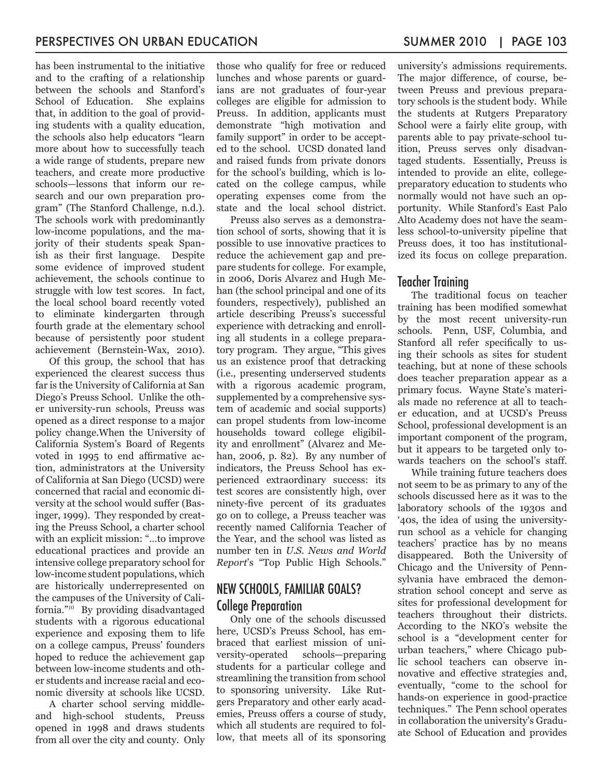has been instrumental to the initiative and to the crafting of a relationship between the schools and Stanford's School of Education. She explains that, in addition to the goal of providing students with a quality education, the schools also help educators "learn more about how to successfully teach a wide range of students, prepare new teachers, and create more productive schools—lessons that inform our research and our own preparation program" (The Stanford Challenge, n.d.). The schools work with predominantly low-income populations, and the majority of their students speak Spanish as their first language. Despite some evidence of improved student achievement, the schools continue to struggle with low test scores. In fact, the local school board recently voted to eliminate kindergarten through fourth grade at the elementary school because of persistently poor student achievement (Bernstein-Wax, 2010).

Of this group, the school that has experienced the clearest success thus far is the University of California at San Diego's Preuss School. Unlike the other university-run schools, Preuss was opened as a direct response to a major policy change.When the University of California System's Board of Regents voted in 1995 to end affirmative action, administrators at the University of California at San Diego (UCSD) were concerned that racial and economic diversity at the school would suffer (Basinger, 1999). They responded by creating the Preuss School, a charter school with an explicit mission: "…to improve educational practices and provide an intensive college preparatory school for low-income student populations, which are historically underrepresented on the campuses of the University of California."<sup>10</sup> By providing disadvantaged students with a rigorous educational experience and exposing them to life on a college campus, Preuss' founders hoped to reduce the achievement gap between low-income students and other students and increase racial and economic diversity at schools like UCSD.

A charter school serving middleand high-school students, Preuss opened in 1998 and draws students from all over the city and county. Only those who qualify for free or reduced lunches and whose parents or guardians are not graduates of four-year colleges are eligible for admission to Preuss. In addition, applicants must demonstrate "high motivation and family support" in order to be accepted to the school. UCSD donated land and raised funds from private donors for the school's building, which is located on the college campus, while operating expenses come from the state and the local school district.

Preuss also serves as a demonstration school of sorts, showing that it is possible to use innovative practices to reduce the achievement gap and prepare students for college. For example, in 2006, Doris Alvarez and Hugh Mehan (the school principal and one of its founders, respectively), published an article describing Preuss's successful experience with detracking and enrolling all students in a college preparatory program. They argue, "This gives us an existence proof that detracking (i.e., presenting underserved students with a rigorous academic program, supplemented by a comprehensive system of academic and social supports) can propel students from low-income households toward college eligibility and enrollment" (Alvarez and Mehan, 2006, p. 82). By any number of indicators, the Preuss School has experienced extraordinary success: its test scores are consistently high, over ninety-five percent of its graduates go on to college, a Preuss teacher was recently named California Teacher of the Year, and the school was listed as number ten in *U.S. News and World Report*'s "Top Public High Schools."

# NEW SCHOOLS, FAMILIAR GOALS? College Preparation

Only one of the schools discussed here, UCSD's Preuss School, has embraced that earliest mission of university-operated schools—preparing students for a particular college and streamlining the transition from school to sponsoring university. Like Rutgers Preparatory and other early academies, Preuss offers a course of study, which all students are required to follow, that meets all of its sponsoring university's admissions requirements. The major difference, of course, between Preuss and previous preparatory schools is the student body. While the students at Rutgers Preparatory School were a fairly elite group, with parents able to pay private-school tuition, Preuss serves only disadvantaged students. Essentially, Preuss is intended to provide an elite, collegepreparatory education to students who normally would not have such an opportunity. While Stanford's East Palo Alto Academy does not have the seamless school-to-university pipeline that Preuss does, it too has institutionalized its focus on college preparation.

#### Teacher Training

The traditional focus on teacher training has been modified somewhat by the most recent university-run schools. Penn, USF, Columbia, and Stanford all refer specifically to using their schools as sites for student teaching, but at none of these schools does teacher preparation appear as a primary focus. Wayne State's materials made no reference at all to teacher education, and at UCSD's Preuss School, professional development is an important component of the program, but it appears to be targeted only towards teachers on the school's staff.

While training future teachers does not seem to be as primary to any of the schools discussed here as it was to the laboratory schools of the 1930s and '40s, the idea of using the universityrun school as a vehicle for changing teachers' practice has by no means disappeared. Both the University of Chicago and the University of Pennsylvania have embraced the demonstration school concept and serve as sites for professional development for teachers throughout their districts. According to the NKO's website the school is a "development center for urban teachers," where Chicago public school teachers can observe innovative and effective strategies and, eventually, "come to the school for hands-on experience in good-practice techniques." The Penn school operates in collaboration the university's Graduate School of Education and provides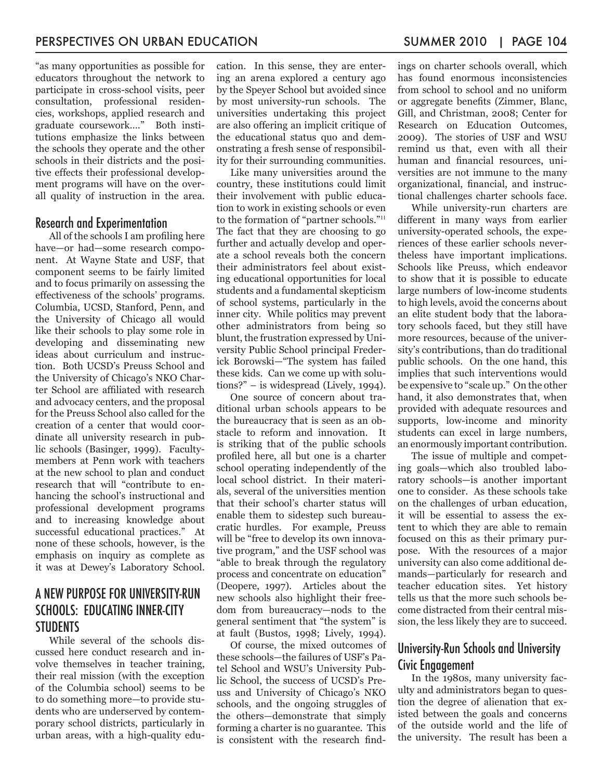"as many opportunities as possible for educators throughout the network to participate in cross-school visits, peer consultation, professional residencies, workshops, applied research and graduate coursework…." Both institutions emphasize the links between the schools they operate and the other schools in their districts and the positive effects their professional development programs will have on the overall quality of instruction in the area.

#### Research and Experimentation

All of the schools I am profiling here have—or had—some research component. At Wayne State and USF, that component seems to be fairly limited and to focus primarily on assessing the effectiveness of the schools' programs. Columbia, UCSD, Stanford, Penn, and the University of Chicago all would like their schools to play some role in developing and disseminating new ideas about curriculum and instruction. Both UCSD's Preuss School and the University of Chicago's NKO Charter School are affiliated with research and advocacy centers, and the proposal for the Preuss School also called for the creation of a center that would coordinate all university research in public schools (Basinger, 1999). Facultymembers at Penn work with teachers at the new school to plan and conduct research that will "contribute to enhancing the school's instructional and professional development programs and to increasing knowledge about successful educational practices." At none of these schools, however, is the emphasis on inquiry as complete as it was at Dewey's Laboratory School.

# A NEW PURPOSE FOR UNIVERSITY-RUN SCHOOLS: EDUCATING INNER-CITY **STUDENTS**

While several of the schools discussed here conduct research and involve themselves in teacher training, their real mission (with the exception of the Columbia school) seems to be to do something more—to provide students who are underserved by contemporary school districts, particularly in urban areas, with a high-quality education. In this sense, they are entering an arena explored a century ago by the Speyer School but avoided since by most university-run schools. The universities undertaking this project are also offering an implicit critique of the educational status quo and demonstrating a fresh sense of responsibility for their surrounding communities.

Like many universities around the country, these institutions could limit their involvement with public education to work in existing schools or even to the formation of "partner schools."<sup>11</sup> The fact that they are choosing to go further and actually develop and operate a school reveals both the concern their administrators feel about existing educational opportunities for local students and a fundamental skepticism of school systems, particularly in the inner city. While politics may prevent other administrators from being so blunt, the frustration expressed by University Public School principal Frederick Borowski—"The system has failed these kids. Can we come up with solutions?" – is widespread (Lively, 1994).

One source of concern about traditional urban schools appears to be the bureaucracy that is seen as an obstacle to reform and innovation. It is striking that of the public schools profiled here, all but one is a charter school operating independently of the local school district. In their materials, several of the universities mention that their school's charter status will enable them to sidestep such bureaucratic hurdles. For example, Preuss will be "free to develop its own innovative program," and the USF school was "able to break through the regulatory process and concentrate on education" (Deopere, 1997). Articles about the new schools also highlight their freedom from bureaucracy—nods to the general sentiment that "the system" is at fault (Bustos, 1998; Lively, 1994).

Of course, the mixed outcomes of these schools—the failures of USF's Patel School and WSU's University Public School, the success of UCSD's Preuss and University of Chicago's NKO schools, and the ongoing struggles of the others—demonstrate that simply forming a charter is no guarantee. This is consistent with the research findings on charter schools overall, which has found enormous inconsistencies from school to school and no uniform or aggregate benefits (Zimmer, Blanc, Gill, and Christman, 2008; Center for Research on Education Outcomes, 2009). The stories of USF and WSU remind us that, even with all their human and financial resources, universities are not immune to the many organizational, financial, and instructional challenges charter schools face.

While university-run charters are different in many ways from earlier university-operated schools, the experiences of these earlier schools nevertheless have important implications. Schools like Preuss, which endeavor to show that it is possible to educate large numbers of low-income students to high levels, avoid the concerns about an elite student body that the laboratory schools faced, but they still have more resources, because of the university's contributions, than do traditional public schools. On the one hand, this implies that such interventions would be expensive to "scale up." On the other hand, it also demonstrates that, when provided with adequate resources and supports, low-income and minority students can excel in large numbers, an enormously important contribution.

The issue of multiple and competing goals—which also troubled laboratory schools—is another important one to consider. As these schools take on the challenges of urban education, it will be essential to assess the extent to which they are able to remain focused on this as their primary purpose. With the resources of a major university can also come additional demands—particularly for research and teacher education sites. Yet history tells us that the more such schools become distracted from their central mission, the less likely they are to succeed.

# University-Run Schools and University Civic Engagement

In the 1980s, many university faculty and administrators began to question the degree of alienation that existed between the goals and concerns of the outside world and the life of the university. The result has been a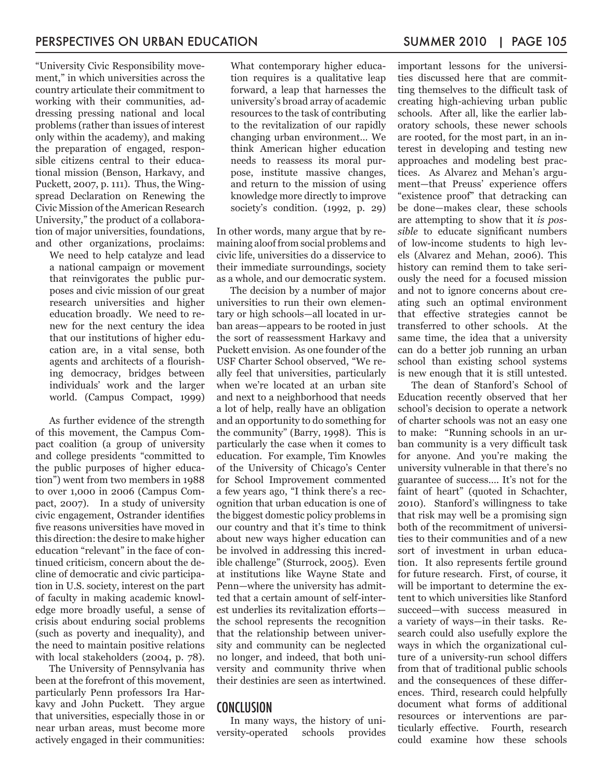"University Civic Responsibility movement," in which universities across the country articulate their commitment to working with their communities, addressing pressing national and local problems (rather than issues of interest only within the academy), and making the preparation of engaged, responsible citizens central to their educational mission (Benson, Harkavy, and Puckett, 2007, p. 111). Thus, the Wingspread Declaration on Renewing the Civic Mission of the American Research University," the product of a collaboration of major universities, foundations, and other organizations, proclaims:

We need to help catalyze and lead a national campaign or movement that reinvigorates the public purposes and civic mission of our great research universities and higher education broadly. We need to renew for the next century the idea that our institutions of higher education are, in a vital sense, both agents and architects of a flourishing democracy, bridges between individuals' work and the larger world. (Campus Compact, 1999)

As further evidence of the strength of this movement, the Campus Compact coalition (a group of university and college presidents "committed to the public purposes of higher education") went from two members in 1988 to over 1,000 in 2006 (Campus Compact, 2007). In a study of university civic engagement, Ostrander identifies five reasons universities have moved in this direction: the desire to make higher education "relevant" in the face of continued criticism, concern about the decline of democratic and civic participation in U.S. society, interest on the part of faculty in making academic knowledge more broadly useful, a sense of crisis about enduring social problems (such as poverty and inequality), and the need to maintain positive relations with local stakeholders (2004, p. 78).

The University of Pennsylvania has been at the forefront of this movement, particularly Penn professors Ira Harkavy and John Puckett. They argue that universities, especially those in or near urban areas, must become more actively engaged in their communities:

What contemporary higher education requires is a qualitative leap forward, a leap that harnesses the university's broad array of academic resources to the task of contributing to the revitalization of our rapidly changing urban environment… We think American higher education needs to reassess its moral purpose, institute massive changes, and return to the mission of using knowledge more directly to improve society's condition. (1992, p. 29)

In other words, many argue that by remaining aloof from social problems and civic life, universities do a disservice to their immediate surroundings, society as a whole, and our democratic system.

The decision by a number of major universities to run their own elementary or high schools—all located in urban areas—appears to be rooted in just the sort of reassessment Harkavy and Puckett envision. As one founder of the USF Charter School observed, "We really feel that universities, particularly when we're located at an urban site and next to a neighborhood that needs a lot of help, really have an obligation and an opportunity to do something for the community" (Barry, 1998). This is particularly the case when it comes to education. For example, Tim Knowles of the University of Chicago's Center for School Improvement commented a few years ago, "I think there's a recognition that urban education is one of the biggest domestic policy problems in our country and that it's time to think about new ways higher education can be involved in addressing this incredible challenge" (Sturrock, 2005). Even at institutions like Wayne State and Penn—where the university has admitted that a certain amount of self-interest underlies its revitalization efforts the school represents the recognition that the relationship between university and community can be neglected no longer, and indeed, that both university and community thrive when their destinies are seen as intertwined.

#### CONCLUSION

In many ways, the history of unisity-operated schools provides versity-operated schools

important lessons for the universities discussed here that are committing themselves to the difficult task of creating high-achieving urban public schools. After all, like the earlier laboratory schools, these newer schools are rooted, for the most part, in an interest in developing and testing new approaches and modeling best practices. As Alvarez and Mehan's argument—that Preuss' experience offers "existence proof" that detracking can be done—makes clear, these schools are attempting to show that it *is possible* to educate significant numbers of low-income students to high levels (Alvarez and Mehan, 2006). This history can remind them to take seriously the need for a focused mission and not to ignore concerns about creating such an optimal environment that effective strategies cannot be transferred to other schools. At the same time, the idea that a university can do a better job running an urban school than existing school systems

is new enough that it is still untested. The dean of Stanford's School of Education recently observed that her school's decision to operate a network of charter schools was not an easy one to make: "Running schools in an urban community is a very difficult task for anyone. And you're making the university vulnerable in that there's no guarantee of success…. It's not for the faint of heart" (quoted in Schachter, 2010). Stanford's willingness to take that risk may well be a promising sign both of the recommitment of universities to their communities and of a new sort of investment in urban education. It also represents fertile ground for future research. First, of course, it will be important to determine the extent to which universities like Stanford succeed—with success measured in a variety of ways—in their tasks. Research could also usefully explore the ways in which the organizational culture of a university-run school differs from that of traditional public schools and the consequences of these differences. Third, research could helpfully document what forms of additional resources or interventions are particularly effective. Fourth, research could examine how these schools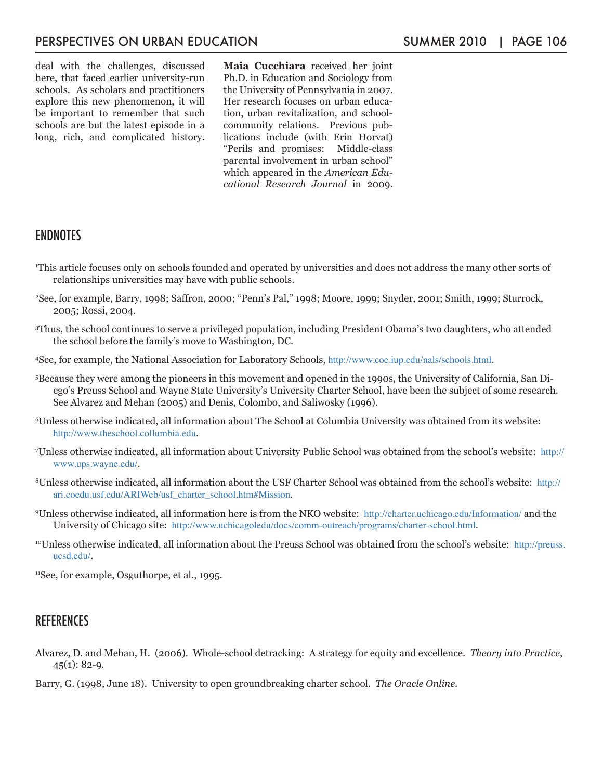deal with the challenges, discussed here, that faced earlier university-run schools. As scholars and practitioners explore this new phenomenon, it will be important to remember that such schools are but the latest episode in a long, rich, and complicated history. **Maia Cucchiara** received her joint Ph.D. in Education and Sociology from the University of Pennsylvania in 2007. Her research focuses on urban education, urban revitalization, and schoolcommunity relations. Previous publications include (with Erin Horvat) "Perils and promises: Middle-class parental involvement in urban school" which appeared in the *American Educational Research Journal* in 2009.

## **ENDNOTES**

- 1 This article focuses only on schools founded and operated by universities and does not address the many other sorts of relationships universities may have with public schools.
- 2 See, for example, Barry, 1998; Saffron, 2000; "Penn's Pal," 1998; Moore, 1999; Snyder, 2001; Smith, 1999; Sturrock, 2005; Rossi, 2004.
- 3 Thus, the school continues to serve a privileged population, including President Obama's two daughters, who attended the school before the family's move to Washington, DC.
- 4 See, for example, the National Association for Laboratory Schools, http://www.coe.iup.edu/nals/schools.html.
- 5 Because they were among the pioneers in this movement and opened in the 1990s, the University of California, San Diego's Preuss School and Wayne State University's University Charter School, have been the subject of some research. See Alvarez and Mehan (2005) and Denis, Colombo, and Saliwosky (1996).
- 6 Unless otherwise indicated, all information about The School at Columbia University was obtained from its website: http://www.theschool.collumbia.edu.
- 7 Unless otherwise indicated, all information about University Public School was obtained from the school's website: http:// www.ups.wayne.edu/.
- 8Unless otherwise indicated, all information about the USF Charter School was obtained from the school's website: http:// ari.coedu.usf.edu/ARIWeb/usf\_charter\_school.htm#Mission.
- 9 Unless otherwise indicated, all information here is from the NKO website: http://charter.uchicago.edu/Information/ and the University of Chicago site: http://www.uchicagoledu/docs/comm-outreach/programs/charter-school.html.
- <sup>10</sup>Unless otherwise indicated, all information about the Preuss School was obtained from the school's website: http://preuss. ucsd.edu/.

11See, for example, Osguthorpe, et al., 1995.

#### **REFERENCES**

- Alvarez, D. and Mehan, H. (2006). Whole-school detracking: A strategy for equity and excellence. *Theory into Practice*,  $45(1): 82-9.$
- Barry, G. (1998, June 18). University to open groundbreaking charter school. *The Oracle Online.*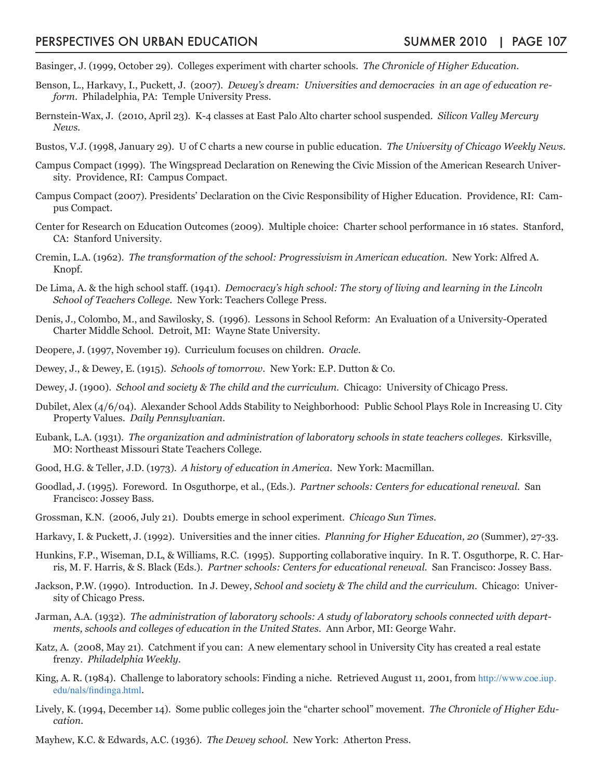- Basinger, J. (1999, October 29). Colleges experiment with charter schools. *The Chronicle of Higher Education.*
- Benson, L., Harkavy, I., Puckett, J. (2007). *Dewey's dream: Universities and democracies in an age of education reform*. Philadelphia, PA: Temple University Press.
- Bernstein-Wax, J. (2010, April 23). K-4 classes at East Palo Alto charter school suspended. *Silicon Valley Mercury News.*
- Bustos, V.J. (1998, January 29). U of C charts a new course in public education. *The University of Chicago Weekly News.*
- Campus Compact (1999). The Wingspread Declaration on Renewing the Civic Mission of the American Research University. Providence, RI: Campus Compact.
- Campus Compact (2007). Presidents' Declaration on the Civic Responsibility of Higher Education. Providence, RI: Campus Compact.
- Center for Research on Education Outcomes (2009). Multiple choice: Charter school performance in 16 states. Stanford, CA: Stanford University.
- Cremin, L.A. (1962). *The transformation of the school: Progressivism in American education.* New York: Alfred A. Knopf.
- De Lima, A. & the high school staff. (1941). *Democracy's high school: The story of living and learning in the Lincoln School of Teachers College.* New York: Teachers College Press.
- Denis, J., Colombo, M., and Sawilosky, S. (1996). Lessons in School Reform: An Evaluation of a University-Operated Charter Middle School. Detroit, MI: Wayne State University.
- Deopere, J. (1997, November 19). Curriculum focuses on children. *Oracle.*
- Dewey, J., & Dewey, E. (1915). *Schools of tomorrow.* New York: E.P. Dutton & Co.
- Dewey, J. (1900). *School and society & The child and the curriculum.* Chicago: University of Chicago Press.
- Dubilet, Alex (4/6/04). Alexander School Adds Stability to Neighborhood: Public School Plays Role in Increasing U. City Property Values. *Daily Pennsylvanian*.
- Eubank, L.A. (1931). *The organization and administration of laboratory schools in state teachers colleges.* Kirksville, MO: Northeast Missouri State Teachers College.
- Good, H.G. & Teller, J.D. (1973). *A history of education in America.* New York: Macmillan.
- Goodlad, J. (1995). Foreword. In Osguthorpe, et al., (Eds.). *Partner schools: Centers for educational renewal.* San Francisco: Jossey Bass.
- Grossman, K.N. (2006, July 21). Doubts emerge in school experiment. *Chicago Sun Times*.
- Harkavy, I. & Puckett, J. (1992). Universities and the inner cities. *Planning for Higher Education, 20* (Summer), 27-33.
- Hunkins, F.P., Wiseman, D.L, & Williams, R.C. (1995). Supporting collaborative inquiry. In R. T. Osguthorpe, R. C. Harris, M. F. Harris, & S. Black (Eds.). *Partner schools: Centers for educational renewal.* San Francisco: Jossey Bass.
- Jackson, P.W. (1990). Introduction. In J. Dewey, *School and society & The child and the curriculum.* Chicago: University of Chicago Press.
- Jarman, A.A. (1932). *The administration of laboratory schools: A study of laboratory schools connected with departments, schools and colleges of education in the United States.* Ann Arbor, MI: George Wahr.
- Katz, A. (2008, May 21). Catchment if you can: A new elementary school in University City has created a real estate frenzy. *Philadelphia Weekly*.
- King, A. R. (1984). Challenge to laboratory schools: Finding a niche. Retrieved August 11, 2001, from http://www.coe.iup. edu/nals/findinga.html.
- Lively, K. (1994, December 14). Some public colleges join the "charter school" movement. *The Chronicle of Higher Education.*
- Mayhew, K.C. & Edwards, A.C. (1936). *The Dewey school.* New York: Atherton Press.